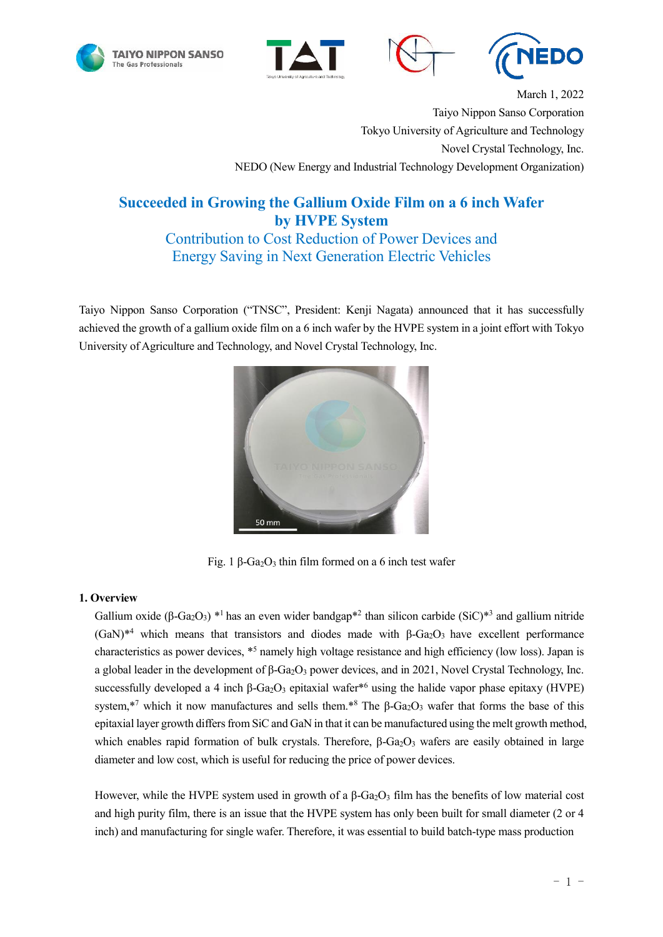







March 1, 2022 Taiyo Nippon Sanso Corporation Tokyo University of Agriculture and Technology Novel Crystal Technology, Inc. NEDO (New Energy and Industrial Technology Development Organization)

# **Succeeded in Growing the Gallium Oxide Film on a 6 inch Wafer by HVPE System**

Contribution to Cost Reduction of Power Devices and Energy Saving in Next Generation Electric Vehicles

Taiyo Nippon Sanso Corporation ("TNSC", President: Kenji Nagata) announced that it has successfully achieved the growth of a gallium oxide film on a 6 inch wafer by the HVPE system in a joint effort with Tokyo University of Agriculture and Technology, and Novel Crystal Technology, Inc.



Fig. 1 β-Ga<sub>2</sub>O<sub>3</sub> thin film formed on a 6 inch test wafer

# **1. Overview**

Gallium oxide (β-Ga<sub>2</sub>O<sub>3</sub>) \*<sup>1</sup> has an even wider bandgap<sup>\*2</sup> than silicon carbide (SiC)<sup>\*3</sup> and gallium nitride (GaN)<sup>\*4</sup> which means that transistors and diodes made with β-Ga<sub>2</sub>O<sub>3</sub> have excellent performance characteristics as power devices, \*<sup>5</sup> namely high voltage resistance and high efficiency (low loss). Japan is a global leader in the development of β-Ga<sub>2</sub>O<sub>3</sub> power devices, and in 2021, Novel Crystal Technology, Inc. successfully developed a 4 inch  $\beta$ -Ga<sub>2</sub>O<sub>3</sub> epitaxial wafer<sup>\*6</sup> using the halide vapor phase epitaxy (HVPE) system,<sup>\*7</sup> which it now manufactures and sells them.<sup>\*8</sup> The  $\beta$ -Ga<sub>2</sub>O<sub>3</sub> wafer that forms the base of this epitaxial layer growth differs from SiC and GaN in that it can be manufactured using the melt growth method, which enables rapid formation of bulk crystals. Therefore,  $\beta$ -Ga<sub>2</sub>O<sub>3</sub> wafers are easily obtained in large diameter and low cost, which is useful for reducing the price of power devices.

However, while the HVPE system used in growth of a  $\beta$ -Ga<sub>2</sub>O<sub>3</sub> film has the benefits of low material cost and high purity film, there is an issue that the HVPE system has only been built for small diameter (2 or 4 inch) and manufacturing for single wafer. Therefore, it was essential to build batch-type mass production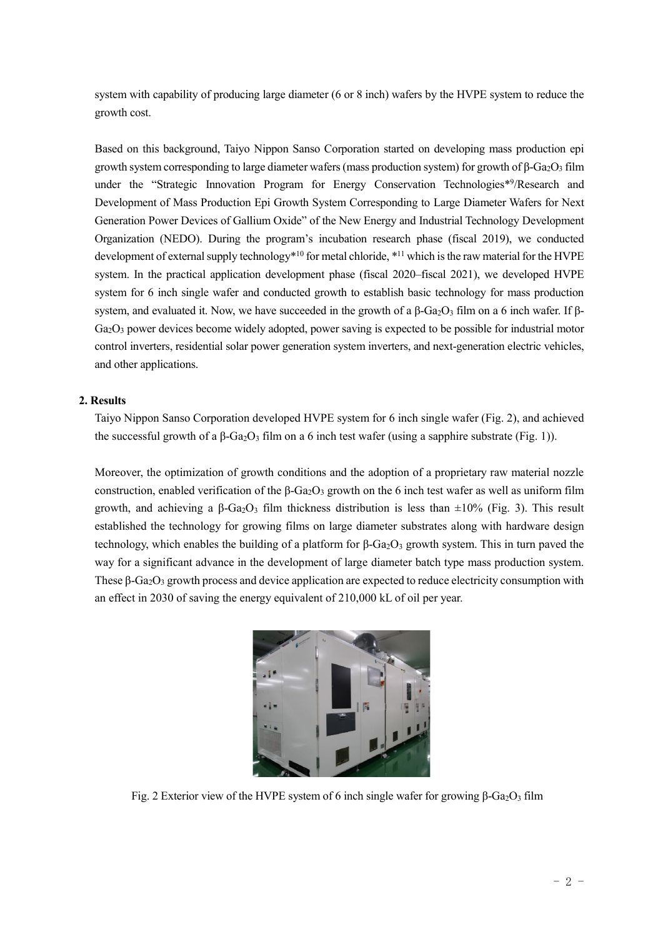system with capability of producing large diameter (6 or 8 inch) wafers by the HVPE system to reduce the growth cost.

Based on this background, Taiyo Nippon Sanso Corporation started on developing mass production epi growth system corresponding to large diameter wafers (mass production system) for growth of  $\beta$ -Ga<sub>2</sub>O<sub>3</sub> film under the "Strategic Innovation Program for Energy Conservation Technologies\*<sup>9</sup>/Research and Development of Mass Production Epi Growth System Corresponding to Large Diameter Wafers for Next Generation Power Devices of Gallium Oxide" of the New Energy and Industrial Technology Development Organization (NEDO). During the program's incubation research phase (fiscal 2019), we conducted development of external supply technology<sup>\*10</sup> for metal chloride, <sup>\*11</sup> which is the raw material for the HVPE system. In the practical application development phase (fiscal 2020–fiscal 2021), we developed HVPE system for 6 inch single wafer and conducted growth to establish basic technology for mass production system, and evaluated it. Now, we have succeeded in the growth of a  $β$ -Ga<sub>2</sub>O<sub>3</sub> film on a 6 inch wafer. If  $β$ -Ga2O<sup>3</sup> power devices become widely adopted, power saving is expected to be possible for industrial motor control inverters, residential solar power generation system inverters, and next-generation electric vehicles, and other applications.

## **2. Results**

Taiyo Nippon Sanso Corporation developed HVPE system for 6 inch single wafer (Fig. 2), and achieved the successful growth of a β-Ga<sub>2</sub>O<sub>3</sub> film on a 6 inch test wafer (using a sapphire substrate (Fig. 1)).

Moreover, the optimization of growth conditions and the adoption of a proprietary raw material nozzle construction, enabled verification of the  $\beta$ -Ga<sub>2</sub>O<sub>3</sub> growth on the 6 inch test wafer as well as uniform film growth, and achieving a β-Ga<sub>2</sub>O<sub>3</sub> film thickness distribution is less than  $\pm 10\%$  (Fig. 3). This result established the technology for growing films on large diameter substrates along with hardware design technology, which enables the building of a platform for  $\beta$ -Ga<sub>2</sub>O<sub>3</sub> growth system. This in turn paved the way for a significant advance in the development of large diameter batch type mass production system. These  $\beta$ -Ga<sub>2</sub>O<sub>3</sub> growth process and device application are expected to reduce electricity consumption with an effect in 2030 of saving the energy equivalent of 210,000 kL of oil per year.



Fig. 2 Exterior view of the HVPE system of 6 inch single wafer for growing  $β$ -Ga<sub>2</sub>O<sub>3</sub> film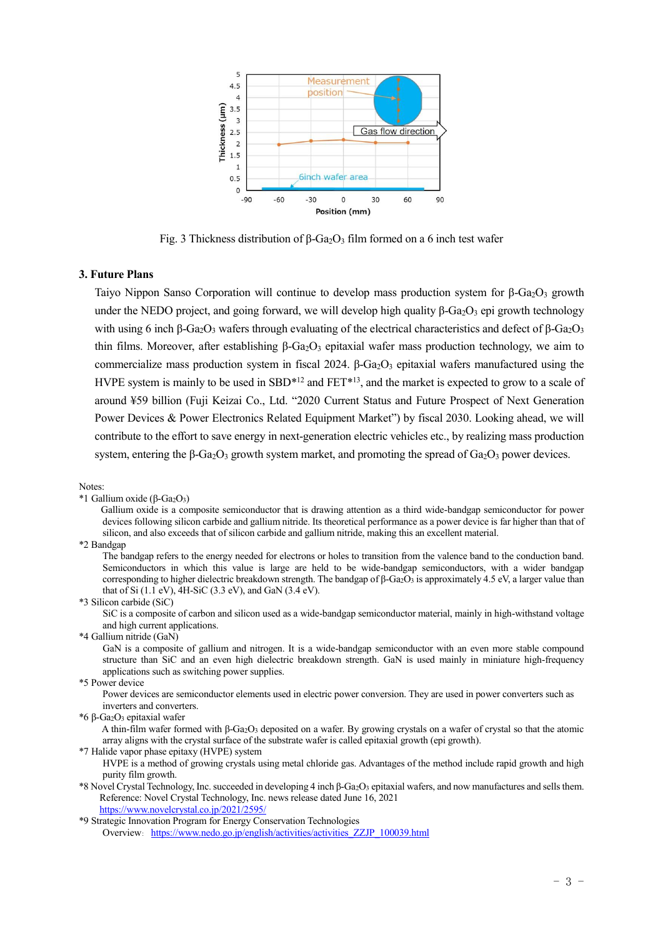

Fig. 3 Thickness distribution of β-Ga<sub>2</sub>O<sub>3</sub> film formed on a 6 inch test wafer

#### **3. Future Plans**

Taiyo Nippon Sanso Corporation will continue to develop mass production system for  $\beta$ -Ga<sub>2</sub>O<sub>3</sub> growth under the NEDO project, and going forward, we will develop high quality  $\beta$ -Ga<sub>2</sub>O<sub>3</sub> epi growth technology with using 6 inch β-Ga<sub>2</sub>O<sub>3</sub> wafers through evaluating of the electrical characteristics and defect of β-Ga<sub>2</sub>O<sub>3</sub> thin films. Moreover, after establishing β-Ga<sub>2</sub>O<sub>3</sub> epitaxial wafer mass production technology, we aim to commercialize mass production system in fiscal 2024. β-Ga<sub>2</sub>O<sub>3</sub> epitaxial wafers manufactured using the HVPE system is mainly to be used in SBD $*12$  and FET $*13$ , and the market is expected to grow to a scale of around ¥59 billion (Fuji Keizai Co., Ltd. "2020 Current Status and Future Prospect of Next Generation Power Devices & Power Electronics Related Equipment Market") by fiscal 2030. Looking ahead, we will contribute to the effort to save energy in next-generation electric vehicles etc., by realizing mass production system, entering the β-Ga<sub>2</sub>O<sub>3</sub> growth system market, and promoting the spread of Ga<sub>2</sub>O<sub>3</sub> power devices.

Notes:

\*1 Gallium oxide (β-Ga2O3)

Gallium oxide is a composite semiconductor that is drawing attention as a third wide-bandgap semiconductor for power devices following silicon carbide and gallium nitride. Its theoretical performance as a power device is far higher than that of silicon, and also exceeds that of silicon carbide and gallium nitride, making this an excellent material.

\*2 Bandgap

The bandgap refers to the energy needed for electrons or holes to transition from the valence band to the conduction band. Semiconductors in which this value is large are held to be wide-bandgap semiconductors, with a wider bandgap corresponding to higher dielectric breakdown strength. The bandgap of β-Ga<sub>2</sub>O<sub>3</sub> is approximately 4.5 eV, a larger value than that of Si (1.1 eV), 4H-SiC (3.3 eV), and GaN (3.4 eV).

\*3 Silicon carbide (SiC)

SiC is a composite of carbon and silicon used as a wide-bandgap semiconductor material, mainly in high-withstand voltage and high current applications.

\*4 Gallium nitride (GaN)

GaN is a composite of gallium and nitrogen. It is a wide-bandgap semiconductor with an even more stable compound structure than SiC and an even high dielectric breakdown strength. GaN is used mainly in miniature high-frequency applications such as switching power supplies.

\*5 Power device

Power devices are semiconductor elements used in electric power conversion. They are used in power converters such as inverters and converters.

\*6 β-Ga2O<sup>3</sup> epitaxial wafer

A thin-film wafer formed with β-Ga2O<sup>3</sup> deposited on a wafer. By growing crystals on a wafer of crystal so that the atomic array aligns with the crystal surface of the substrate wafer is called epitaxial growth (epi growth).

\*7 Halide vapor phase epitaxy (HVPE) system

HVPE is a method of growing crystals using metal chloride gas. Advantages of the method include rapid growth and high purity film growth.

\*8 Novel Crystal Technology, Inc. succeeded in developing 4 inch β-Ga<sub>2</sub>O<sub>3</sub> epitaxial wafers, and now manufactures and sells them. Reference: Novel Crystal Technology, Inc. news release dated June 16, 2021 <https://www.novelcrystal.co.jp/2021/2595/>

<sup>\*9</sup> Strategic Innovation Program for Energy Conservation Technologies

Overview: [https://www.nedo.go.jp/english/activities/activities\\_ZZJP\\_100039.html](https://www.nedo.go.jp/english/activities/activities_ZZJP_100039.html)